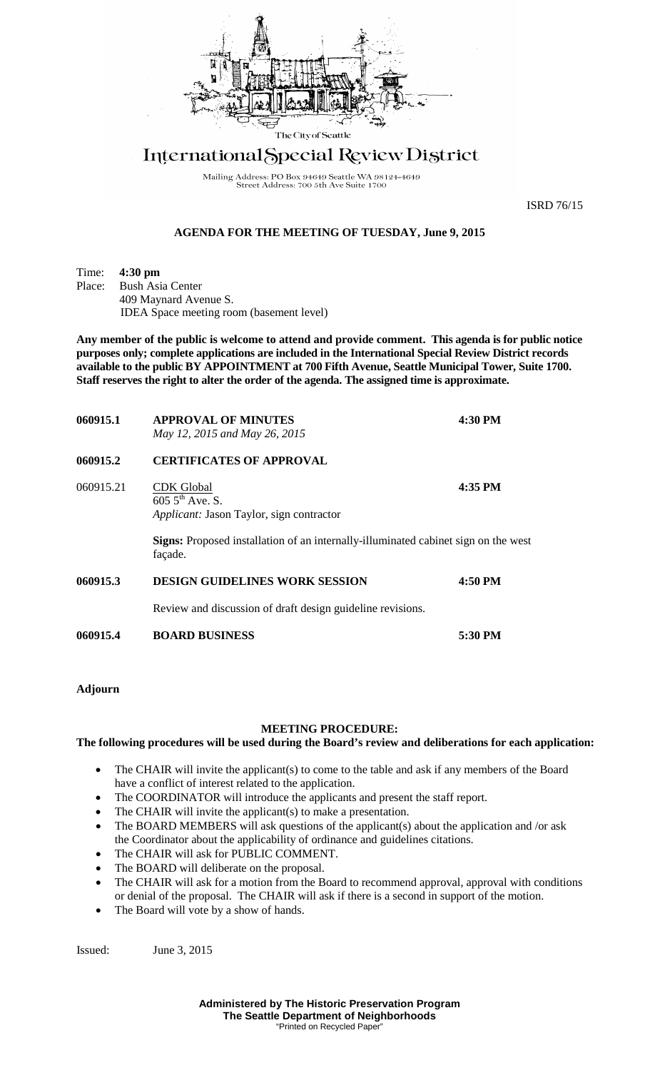

## International Special Review District

Mailing Address: PO Box 94649 Seattle WA 98124-4649<br>Street Address: 700 5th Ave Suite 1700

ISRD 76/15

## **AGENDA FOR THE MEETING OF TUESDAY, June 9, 2015**

Time: **4:30 pm**<br>Place: Bush Asi **Bush Asia Center** 409 Maynard Avenue S. IDEA Space meeting room (basement level)

**Any member of the public is welcome to attend and provide comment. This agenda is for public notice purposes only; complete applications are included in the International Special Review District records available to the public BY APPOINTMENT at 700 Fifth Avenue, Seattle Municipal Tower, Suite 1700. Staff reserves the right to alter the order of the agenda. The assigned time is approximate.** 

| 060915.1  | <b>APPROVAL OF MINUTES</b><br>May 12, 2015 and May 26, 2015                                          | 4:30 PM |
|-----------|------------------------------------------------------------------------------------------------------|---------|
| 060915.2  | <b>CERTIFICATES OF APPROVAL</b>                                                                      |         |
| 060915.21 | <b>CDK</b> Global<br>$605.5^{\text{th}}$ Ave. S.<br><i>Applicant:</i> Jason Taylor, sign contractor  | 4:35 PM |
|           | <b>Signs:</b> Proposed installation of an internally-illuminated cabinet sign on the west<br>façade. |         |
| 060915.3  | <b>DESIGN GUIDELINES WORK SESSION</b>                                                                | 4:50 PM |
|           | Review and discussion of draft design guideline revisions.                                           |         |
| 060915.4  | <b>BOARD BUSINESS</b>                                                                                | 5:30 PM |

## **Adjourn**

## **MEETING PROCEDURE:**

**The following procedures will be used during the Board's review and deliberations for each application:** 

- The CHAIR will invite the applicant(s) to come to the table and ask if any members of the Board have a conflict of interest related to the application.
- The COORDINATOR will introduce the applicants and present the staff report.
- The CHAIR will invite the applicant(s) to make a presentation.
- The BOARD MEMBERS will ask questions of the applicant(s) about the application and /or ask the Coordinator about the applicability of ordinance and guidelines citations.
- The CHAIR will ask for PUBLIC COMMENT.
- The BOARD will deliberate on the proposal.
- The CHAIR will ask for a motion from the Board to recommend approval, approval with conditions or denial of the proposal. The CHAIR will ask if there is a second in support of the motion.
- The Board will vote by a show of hands.

Issued: June 3, 2015